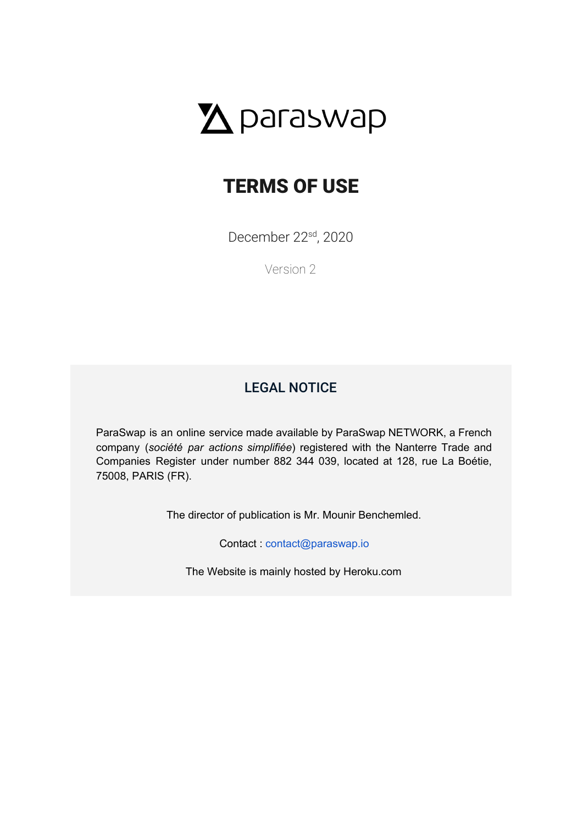

# TERMS OF USE

December 22<sup>sd</sup>, 2020

Version 2

# LEGAL NOTICE

<span id="page-0-0"></span>ParaSwap is an online service made available by ParaSwap NETWORK, a French company (*société par actions simplifiée*) registered with the Nanterre Trade and Companies Register under number 882 344 039, located at 128, rue La Boétie, 75008, PARIS (FR).

The director of publication is Mr. Mounir Benchemled.

Contact : [contact@paraswap.io](mailto:contact@ParaSwap.io)

The Website is mainly hosted by Heroku.com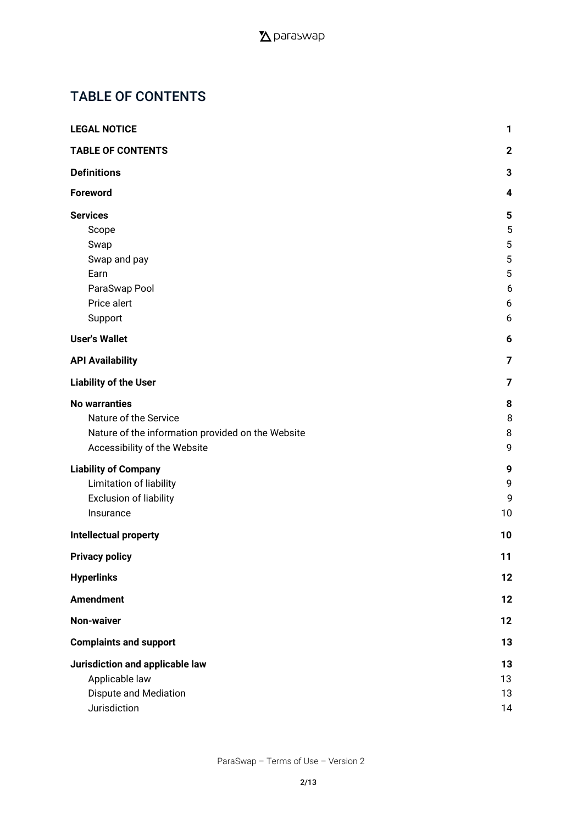# <span id="page-1-0"></span>TABLE OF CONTENTS

| <b>LEGAL NOTICE</b>                               | 1              |
|---------------------------------------------------|----------------|
| <b>TABLE OF CONTENTS</b>                          | $\mathbf 2$    |
| <b>Definitions</b>                                | 3              |
| <b>Foreword</b>                                   | 4              |
| <b>Services</b>                                   | 5              |
| Scope                                             | 5              |
| Swap                                              | 5              |
| Swap and pay                                      | 5              |
| Earn                                              | 5              |
| ParaSwap Pool                                     | 6              |
| Price alert                                       | 6              |
| Support                                           | 6              |
| <b>User's Wallet</b>                              | 6              |
| <b>API Availability</b>                           | $\overline{7}$ |
| <b>Liability of the User</b>                      | 7              |
| <b>No warranties</b>                              | 8              |
| Nature of the Service                             | 8              |
| Nature of the information provided on the Website | 8              |
| Accessibility of the Website                      | 9              |
| <b>Liability of Company</b>                       | 9              |
| Limitation of liability                           | 9              |
| <b>Exclusion of liability</b>                     | 9              |
| Insurance                                         | 10             |
| <b>Intellectual property</b>                      | 10             |
| <b>Privacy policy</b>                             | 11             |
| <b>Hyperlinks</b>                                 | 12             |
| <b>Amendment</b>                                  | 12             |
| <b>Non-waiver</b>                                 | 12             |
| <b>Complaints and support</b>                     | 13             |
| Jurisdiction and applicable law                   | 13             |
| Applicable law                                    | 13             |
| Dispute and Mediation                             | 13             |
| Jurisdiction                                      | 14             |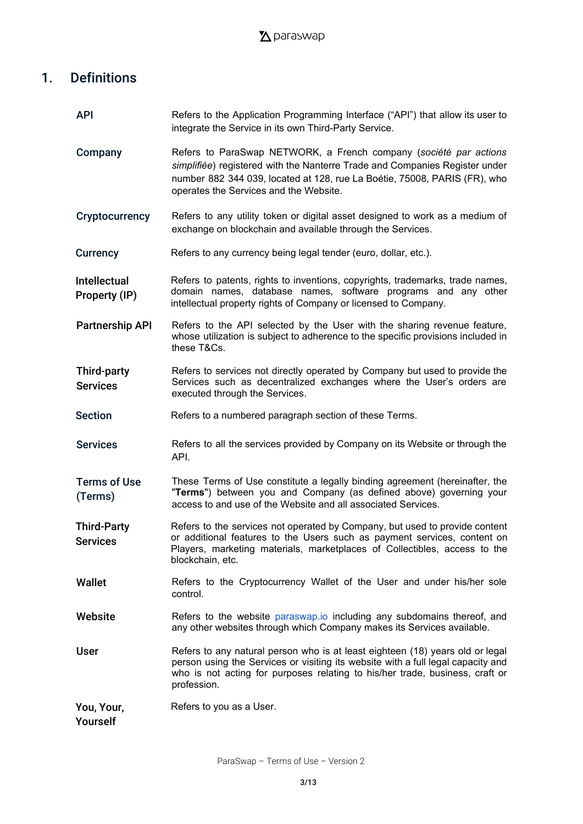# <span id="page-2-0"></span>1. Definitions

| <b>API</b>                            | Refers to the Application Programming Interface ("API") that allow its user to<br>integrate the Service in its own Third-Party Service.                                                                                                                                 |
|---------------------------------------|-------------------------------------------------------------------------------------------------------------------------------------------------------------------------------------------------------------------------------------------------------------------------|
| Company                               | Refers to ParaSwap NETWORK, a French company (société par actions<br>simplifiée) registered with the Nanterre Trade and Companies Register under<br>number 882 344 039, located at 128, rue La Boétie, 75008, PARIS (FR), who<br>operates the Services and the Website. |
| Cryptocurrency                        | Refers to any utility token or digital asset designed to work as a medium of<br>exchange on blockchain and available through the Services.                                                                                                                              |
| <b>Currency</b>                       | Refers to any currency being legal tender (euro, dollar, etc.).                                                                                                                                                                                                         |
| <b>Intellectual</b><br>Property (IP)  | Refers to patents, rights to inventions, copyrights, trademarks, trade names,<br>domain names, database names, software programs and any other<br>intellectual property rights of Company or licensed to Company.                                                       |
| <b>Partnership API</b>                | Refers to the API selected by the User with the sharing revenue feature,<br>whose utilization is subject to adherence to the specific provisions included in<br>these T&Cs.                                                                                             |
| <b>Third-party</b><br><b>Services</b> | Refers to services not directly operated by Company but used to provide the<br>Services such as decentralized exchanges where the User's orders are<br>executed through the Services.                                                                                   |
| <b>Section</b>                        | Refers to a numbered paragraph section of these Terms.                                                                                                                                                                                                                  |
| <b>Services</b>                       | Refers to all the services provided by Company on its Website or through the<br>API.                                                                                                                                                                                    |
| <b>Terms of Use</b><br>(Terms)        | These Terms of Use constitute a legally binding agreement (hereinafter, the<br>"Terms") between you and Company (as defined above) governing your<br>access to and use of the Website and all associated Services.                                                      |
| <b>Third-Party</b><br><b>Services</b> | Refers to the services not operated by Company, but used to provide content<br>or additional features to the Users such as payment services, content on<br>Players, marketing materials, marketplaces of Collectibles, access to the<br>blockchain, etc.                |
| Wallet                                | Refers to the Cryptocurrency Wallet of the User and under his/her sole<br>control.                                                                                                                                                                                      |
| Website                               | Refers to the website paraswap.io including any subdomains thereof, and<br>any other websites through which Company makes its Services available.                                                                                                                       |
| <b>User</b>                           | Refers to any natural person who is at least eighteen (18) years old or legal<br>person using the Services or visiting its website with a full legal capacity and<br>who is not acting for purposes relating to his/her trade, business, craft or<br>profession.        |
| You, Your,<br>Yourself                | Refers to you as a User.                                                                                                                                                                                                                                                |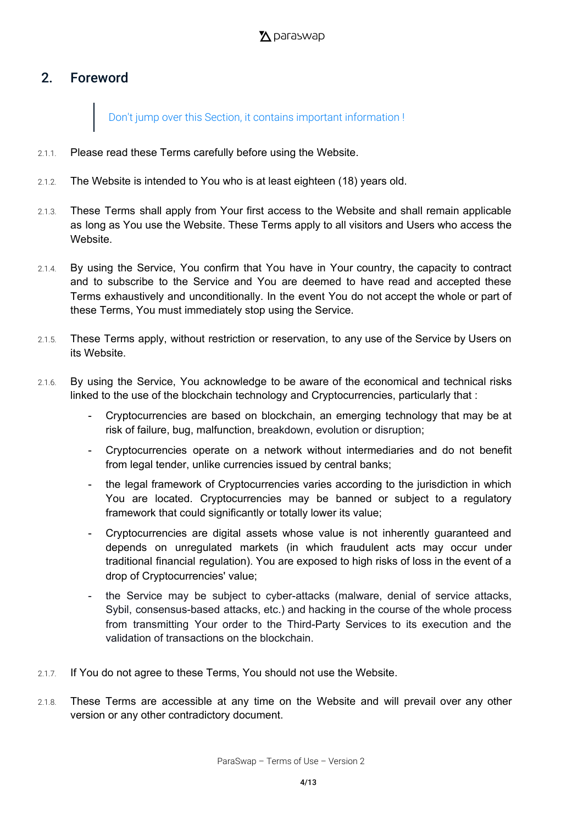# <span id="page-3-0"></span>2. Foreword

Don't jump over this Section, it contains important information !

- 2.1.1. Please read these Terms carefully before using the Website.
- 2.1.2. The Website is intended to You who is at least eighteen (18) years old.
- 2.1.3. These Terms shall apply from Your first access to the Website and shall remain applicable as long as You use the Website. These Terms apply to all visitors and Users who access the **Website**
- 2.1.4. By using the Service, You confirm that You have in Your country, the capacity to contract and to subscribe to the Service and You are deemed to have read and accepted these Terms exhaustively and unconditionally. In the event You do not accept the whole or part of these Terms, You must immediately stop using the Service.
- 2.1.5. These Terms apply, without restriction or reservation, to any use of the Service by Users on its Website.
- 2.1.6. By using the Service, You acknowledge to be aware of the economical and technical risks linked to the use of the blockchain technology and Cryptocurrencies, particularly that :
	- Cryptocurrencies are based on blockchain, an emerging technology that may be at risk of failure, bug, malfunction, breakdown, evolution or disruption;
	- Cryptocurrencies operate on a network without intermediaries and do not benefit from legal tender, unlike currencies issued by central banks;
	- the legal framework of Cryptocurrencies varies according to the jurisdiction in which You are located. Cryptocurrencies may be banned or subject to a regulatory framework that could significantly or totally lower its value;
	- Cryptocurrencies are digital assets whose value is not inherently guaranteed and depends on unregulated markets (in which fraudulent acts may occur under traditional financial regulation). You are exposed to high risks of loss in the event of a drop of Cryptocurrencies' value;
	- the Service may be subject to cyber-attacks (malware, denial of service attacks, Sybil, consensus-based attacks, etc.) and hacking in the course of the whole process from transmitting Your order to the Third-Party Services to its execution and the validation of transactions on the blockchain.
- 2.1.7. If You do not agree to these Terms, You should not use the Website.
- 2.1.8. These Terms are accessible at any time on the Website and will prevail over any other version or any other contradictory document.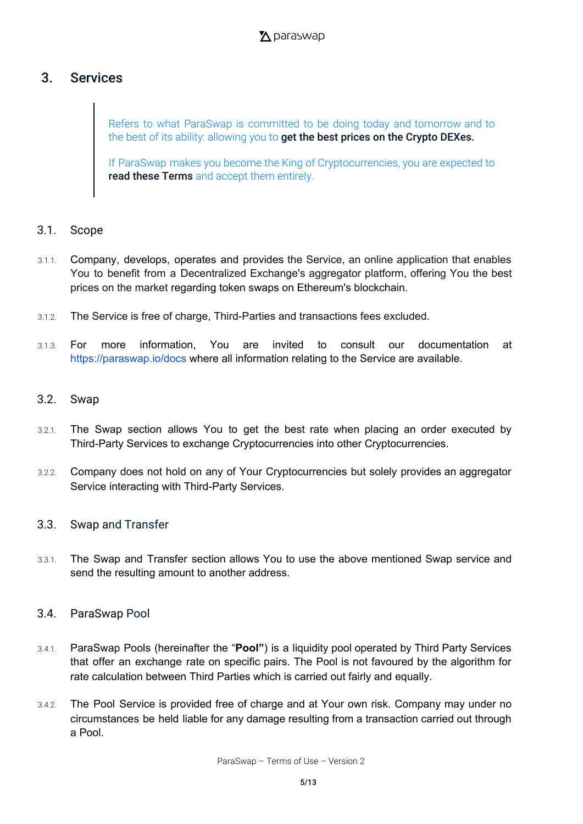# <span id="page-4-0"></span>3. Services

Refers to what ParaSwap is committed to be doing today and tomorrow and to the best of its ability: allowing you to get the best prices on the Crypto DEXes.

If ParaSwap makes you become the King of Cryptocurrencies, you are expected to read these Terms and accept them entirely.

#### <span id="page-4-1"></span>3.1. Scope

- 3.1.1. Company, develops, operates and provides the Service, an online application that enables You to benefit from a Decentralized Exchange's aggregator platform, offering You the best prices on the market regarding token swaps on Ethereum's blockchain.
- 3.1.2. The Service is free of charge, Third-Parties and transactions fees excluded.
- 3.1.3. For more information, You are invited to consult our documentation at <https://paraswap.io/docs> where all information relating to the Service are available.

#### <span id="page-4-2"></span>3.2. Swap

- 3.2.1. The Swap section allows You to get the best rate when placing an order executed by Third-Party Services to exchange Cryptocurrencies into other Cryptocurrencies.
- 3.2.2. Company does not hold on any of Your Cryptocurrencies but solely provides an aggregator Service interacting with Third-Party Services.

#### <span id="page-4-3"></span>3.3. Swap and Transfer

- 3.3.1. The Swap and Transfer section allows You to use the above mentioned Swap service and send the resulting amount to another address.
- 3.4. ParaSwap Pool
- 3.4.1. ParaSwap Pools (hereinafter the "**Pool"**) is a liquidity pool operated by Third Party Services that offer an exchange rate on specific pairs. The Pool is not favoured by the algorithm for rate calculation between Third Parties which is carried out fairly and equally.
- 3.4.2. The Pool Service is provided free of charge and at Your own risk. Company may under no circumstances be held liable for any damage resulting from a transaction carried out through a Pool.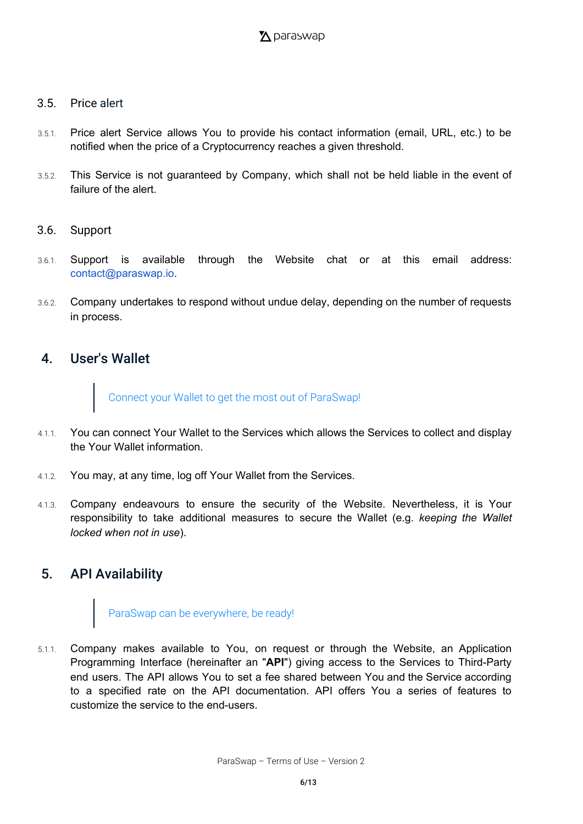#### 3.5. Price alert

- 3.5.1. Price alert Service allows You to provide his contact information (email, URL, etc.) to be notified when the price of a Cryptocurrency reaches a given threshold.
- 3.5.2. This Service is not guaranteed by Company, which shall not be held liable in the event of failure of the alert.
- 3.6. Support
- 3.6.1. Support is available through the Website chat or at this email address: [contact@paraswap.io](mailto:contact@paraswap.io).
- 3.6.2. Company undertakes to respond without undue delay, depending on the number of requests in process.

#### <span id="page-5-0"></span>4. User's Wallet

Connect your Wallet to get the most out of ParaSwap!

- 4.1.1. You can connect Your Wallet to the Services which allows the Services to collect and display the Your Wallet information.
- 4.1.2. You may, at any time, log off Your Wallet from the Services.
- 4.1.3. Company endeavours to ensure the security of the Website. Nevertheless, it is Your responsibility to take additional measures to secure the Wallet (e.g. *keeping the Wallet locked when not in use*).

## <span id="page-5-1"></span>5. API Availability

# ParaSwap can be everywhere, be ready!

5.1.1. Company makes available to You, on request or through the Website, an Application Programming Interface (hereinafter an "**API**") giving access to the Services to Third-Party end users. The API allows You to set a fee shared between You and the Service according to a specified rate on the API documentation. API offers You a series of features to customize the service to the end-users.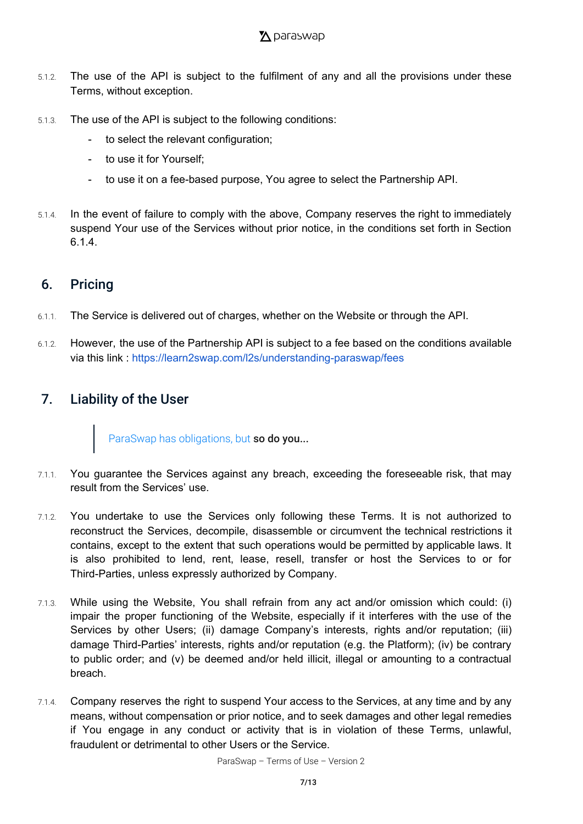- 5.1.2. The use of the API is subject to the fulfilment of any and all the provisions under these Terms, without exception.
- 5.1.3. The use of the API is subject to the following conditions:
	- to select the relevant configuration;
	- to use it for Yourself;
	- to use it on a fee-based purpose, You agree to select the Partnership API.
- 5.1.4. In the event of failure to comply with the above, Company reserves the right to immediately suspend Your use of the Services without prior notice, in the conditions set forth in Section 6.1.4.

## <span id="page-6-0"></span>6. Pricing

- 6.1.1. The Service is delivered out of charges, whether on the Website or through the API.
- 6.1.2. However, the use of the Partnership API is subject to a fee based on the conditions available via this link : <https://learn2swap.com/l2s/understanding-paraswap/fees>

# 7. Liability of the User

ParaSwap has obligations, but so do you...

- 7.1.1. You guarantee the Services against any breach, exceeding the foreseeable risk, that may result from the Services' use.
- 7.1.2. You undertake to use the Services only following these Terms. It is not authorized to reconstruct the Services, decompile, disassemble or circumvent the technical restrictions it contains, except to the extent that such operations would be permitted by applicable laws. It is also prohibited to lend, rent, lease, resell, transfer or host the Services to or for Third-Parties, unless expressly authorized by Company.
- 7.1.3. While using the Website, You shall refrain from any act and/or omission which could: (i) impair the proper functioning of the Website, especially if it interferes with the use of the Services by other Users; (ii) damage Company's interests, rights and/or reputation; (iii) damage Third-Parties' interests, rights and/or reputation (e.g. the Platform); (iv) be contrary to public order; and (v) be deemed and/or held illicit, illegal or amounting to a contractual breach.
- 7.1.4. Company reserves the right to suspend Your access to the Services, at any time and by any means, without compensation or prior notice, and to seek damages and other legal remedies if You engage in any conduct or activity that is in violation of these Terms, unlawful, fraudulent or detrimental to other Users or the Service.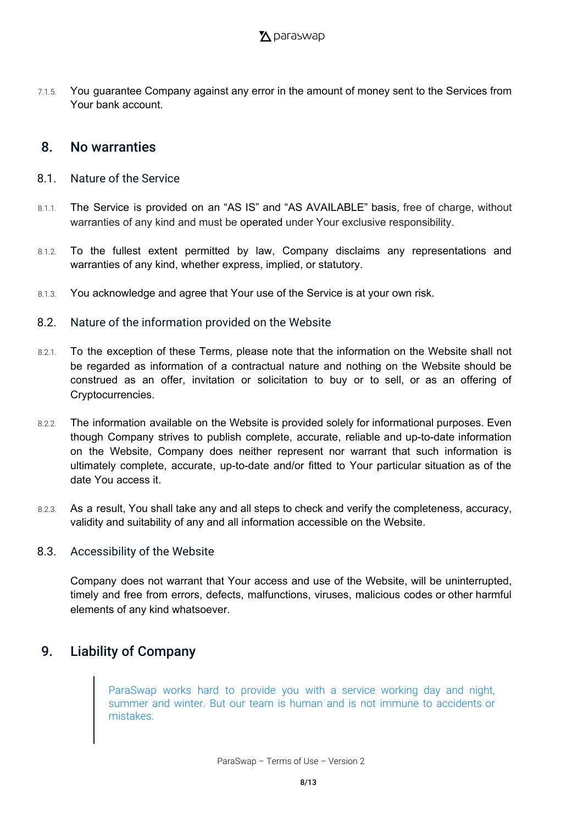7.1.5. You guarantee Company against any error in the amount of money sent to the Services from Your bank account.

#### <span id="page-7-0"></span>8. No warranties

- <span id="page-7-1"></span>8.1. Nature of the Service
- 8.1.1. The Service is provided on an "AS IS" and "AS AVAILABLE" basis, free of charge, without warranties of any kind and must be operated under Your exclusive responsibility.
- 8.1.2. To the fullest extent permitted by law, Company disclaims any representations and warranties of any kind, whether express, implied, or statutory.
- 8.1.3. You acknowledge and agree that Your use of the Service is at your own risk.
- <span id="page-7-2"></span>8.2. Nature of the information provided on the Website
- 8.2.1. To the exception of these Terms, please note that the information on the Website shall not be regarded as information of a contractual nature and nothing on the Website should be construed as an offer, invitation or solicitation to buy or to sell, or as an offering of Cryptocurrencies.
- 8.2.2. The information available on the Website is provided solely for informational purposes. Even though Company strives to publish complete, accurate, reliable and up-to-date information on the Website, Company does neither represent nor warrant that such information is ultimately complete, accurate, up-to-date and/or fitted to Your particular situation as of the date You access it.
- 8.2.3. As a result, You shall take any and all steps to check and verify the completeness, accuracy, validity and suitability of any and all information accessible on the Website.

#### 8.3. Accessibility of the Website

<span id="page-7-3"></span>Company does not warrant that Your access and use of the Website, will be uninterrupted, timely and free from errors, defects, malfunctions, viruses, malicious codes or other harmful elements of any kind whatsoever.

## <span id="page-7-4"></span>9. Liability of Company

ParaSwap works hard to provide you with a service working day and night, summer and winter. But our team is human and is not immune to accidents or mistakes.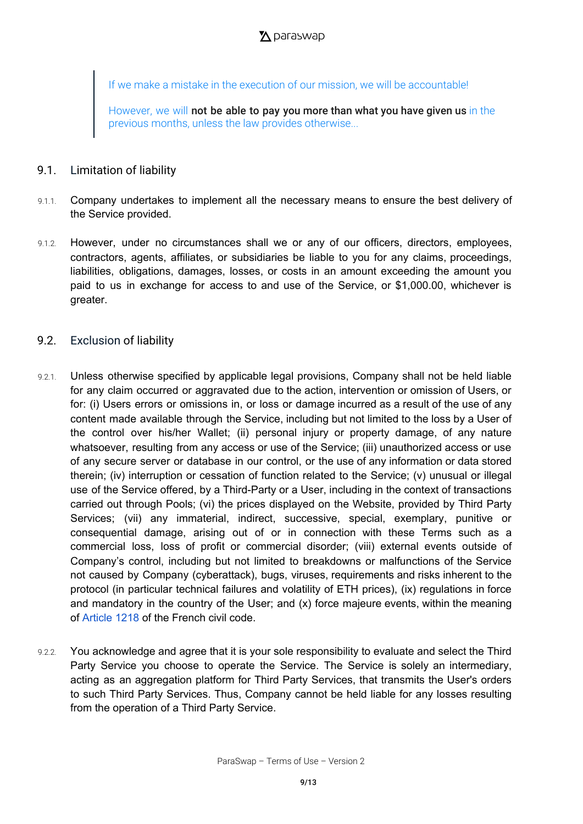If we make a mistake in the execution of our mission, we will be accountable!

However, we will not be able to pay you more than what you have given us in the previous months, unless the law provides otherwise...

#### 9.1. Limitation of liability

- 9.1.1. Company undertakes to implement all the necessary means to ensure the best delivery of the Service provided.
- 9.1.2. However, under no circumstances shall we or any of our officers, directors, employees, contractors, agents, affiliates, or subsidiaries be liable to you for any claims, proceedings, liabilities, obligations, damages, losses, or costs in an amount exceeding the amount you paid to us in exchange for access to and use of the Service, or \$1,000.00, whichever is greater.

#### 9.2. Exclusion of liability

- 9.2.1. Unless otherwise specified by applicable legal provisions, Company shall not be held liable for any claim occurred or aggravated due to the action, intervention or omission of Users, or for: (i) Users errors or omissions in, or loss or damage incurred as a result of the use of any content made available through the Service, including but not limited to the loss by a User of the control over his/her Wallet; (ii) personal injury or property damage, of any nature whatsoever, resulting from any access or use of the Service; (iii) unauthorized access or use of any secure server or database in our control, or the use of any information or data stored therein; (iv) interruption or cessation of function related to the Service; (v) unusual or illegal use of the Service offered, by a Third-Party or a User, including in the context of transactions carried out through Pools; (vi) the prices displayed on the Website, provided by Third Party Services; (vii) any immaterial, indirect, successive, special, exemplary, punitive or consequential damage, arising out of or in connection with these Terms such as a commercial loss, loss of profit or commercial disorder; (viii) external events outside of Company's control, including but not limited to breakdowns or malfunctions of the Service not caused by Company (cyberattack), bugs, viruses, requirements and risks inherent to the protocol (in particular technical failures and volatility of ETH prices), (ix) regulations in force and mandatory in the country of the User; and (x) force majeure events, within the meaning of [Article](https://www.legifrance.gouv.fr/affichCodeArticle.do?idArticle=LEGIARTI000032041431&cidTexte=LEGITEXT000006070721&dateTexte=20161001) 1218 of the French civil code.
- 9.2.2. You acknowledge and agree that it is your sole responsibility to evaluate and select the Third Party Service you choose to operate the Service. The Service is solely an intermediary, acting as an aggregation platform for Third Party Services, that transmits the User's orders to such Third Party Services. Thus, Company cannot be held liable for any losses resulting from the operation of a Third Party Service.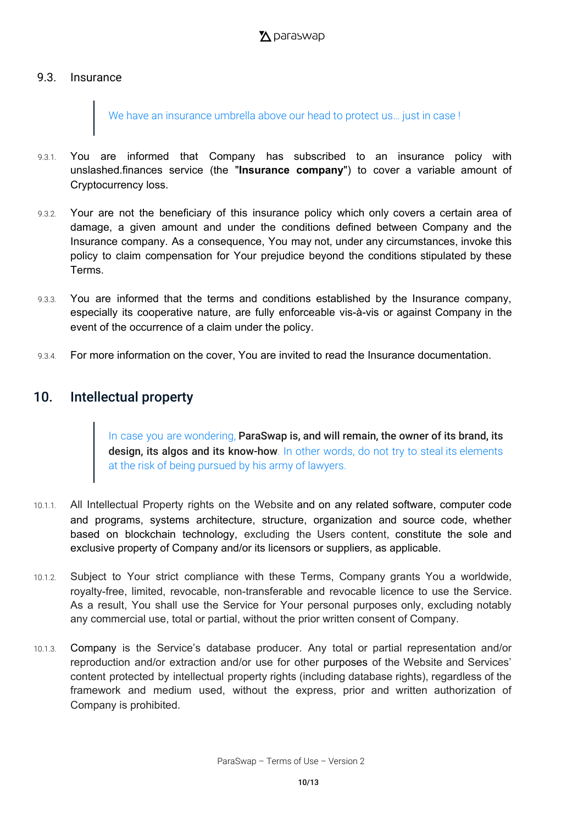#### 9.3. Insurance

We have an insurance umbrella above our head to protect us... just in case !

- 9.3.1. You are informed that Company has subscribed to an insurance policy with unslashed.finances service (the "**Insurance company**") to cover a variable amount of Cryptocurrency loss.
- 9.3.2. Your are not the beneficiary of this insurance policy which only covers a certain area of damage, a given amount and under the conditions defined between Company and the Insurance company. As a consequence, You may not, under any circumstances, invoke this policy to claim compensation for Your prejudice beyond the conditions stipulated by these Terms.
- 9.3.3. You are informed that the terms and conditions established by the Insurance company, especially its cooperative nature, are fully enforceable vis-à-vis or against Company in the event of the occurrence of a claim under the policy.
- 9.3.4. For more information on the cover, You are invited to read the Insurance documentation.

## <span id="page-9-0"></span>10. Intellectual property

In case you are wondering, ParaSwap is, and will remain, the owner of its brand, its design, its algos and its know-how. In other words, do not try to steal its elements at the risk of being pursued by his army of lawyers.

- 10.1.1. All Intellectual Property rights on the Website and on any related software, computer code and programs, systems architecture, structure, organization and source code, whether based on blockchain technology, excluding the Users content, constitute the sole and exclusive property of Company and/or its licensors or suppliers, as applicable.
- 10.1.2. Subject to Your strict compliance with these Terms, Company grants You a worldwide, royalty-free, limited, revocable, non-transferable and revocable licence to use the Service. As a result, You shall use the Service for Your personal purposes only, excluding notably any commercial use, total or partial, without the prior written consent of Company.
- 10.1.3. Company is the Service's database producer. Any total or partial representation and/or reproduction and/or extraction and/or use for other purposes of the Website and Services' content protected by intellectual property rights (including database rights), regardless of the framework and medium used, without the express, prior and written authorization of Company is prohibited.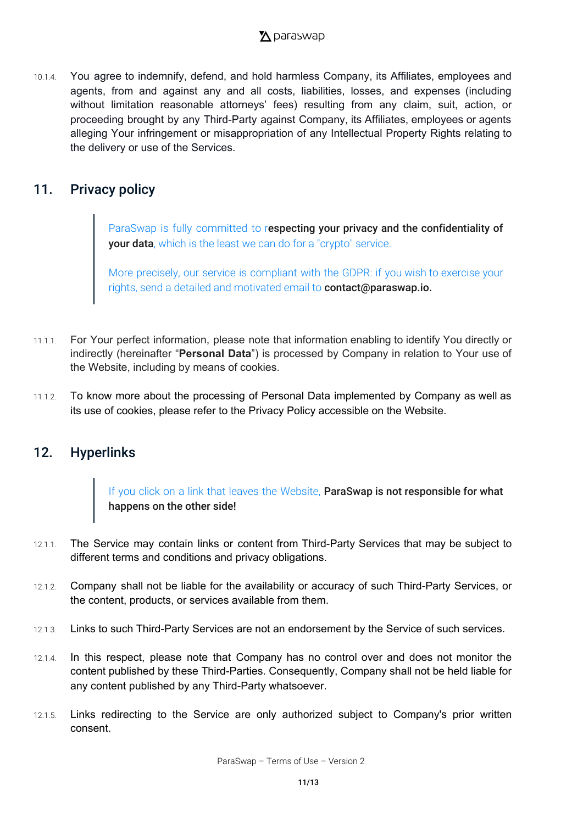## $\Sigma$  paraswap

10.1.4. You agree to indemnify, defend, and hold harmless Company, its Affiliates, employees and agents, from and against any and all costs, liabilities, losses, and expenses (including without limitation reasonable attorneys' fees) resulting from any claim, suit, action, or proceeding brought by any Third-Party against Company, its Affiliates, employees or agents alleging Your infringement or misappropriation of any Intellectual Property Rights relating to the delivery or use of the Services.

## <span id="page-10-0"></span>11. Privacy policy

ParaSwap is fully committed to respecting your privacy and the confidentiality of **your data**, which is the least we can do for a "crypto" service.

More precisely, our service is compliant with the GDPR: if you wish to exercise your rights, send a detailed and motivated email to **[contact@paraswap.io.](mailto:contact@paraswap.io)** 

- 11.1.1. For Your perfect information, please note that information enabling to identify You directly or indirectly (hereinafter "**Personal Data**") is processed by Company in relation to Your use of the Website, including by means of cookies.
- 11.1.2. To know more about the processing of Personal Data implemented by Company as well as its use of cookies, please refer to the Privacy Policy accessible on the Website.

## <span id="page-10-1"></span>12. Hyperlinks

If you click on a link that leaves the Website, ParaSwap is not responsible for what happens on the other side!

- 12.1.1. The Service may contain links or content from Third-Party Services that may be subject to different terms and conditions and privacy obligations.
- 12.1.2. Company shall not be liable for the availability or accuracy of such Third-Party Services, or the content, products, or services available from them.
- 12.1.3. Links to such Third-Party Services are not an endorsement by the Service of such services.
- 12.1.4. In this respect, please note that Company has no control over and does not monitor the content published by these Third-Parties. Consequently, Company shall not be held liable for any content published by any Third-Party whatsoever.
- 12.1.5. Links redirecting to the Service are only authorized subject to Company's prior written consent.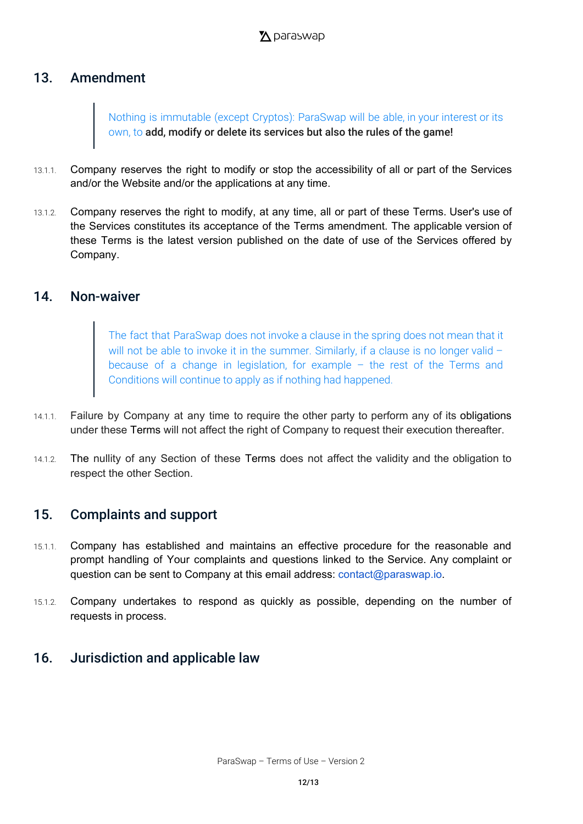# <span id="page-11-0"></span>13. Amendment

Nothing is immutable (except Cryptos): ParaSwap will be able, in your interest or its own, to add, modify or delete its services but also the rules of the game!

- 13.1.1. Company reserves the right to modify or stop the accessibility of all or part of the Services and/or the Website and/or the applications at any time.
- 13.1.2. Company reserves the right to modify, at any time, all or part of these Terms. User's use of the Services constitutes its acceptance of the Terms amendment. The applicable version of these Terms is the latest version published on the date of use of the Services offered by Company.

#### <span id="page-11-1"></span>14. Non-waiver

The fact that ParaSwap does not invoke a clause in the spring does not mean that it will not be able to invoke it in the summer. Similarly, if a clause is no longer valid because of a change in legislation, for example – the rest of the Terms and Conditions will continue to apply as if nothing had happened.

- 14.1.1. Failure by Company at any time to require the other party to perform any of its obligations under these Terms will not affect the right of Company to request their execution thereafter.
- 14.1.2. The nullity of any Section of these Terms does not affect the validity and the obligation to respect the other Section.

#### <span id="page-11-2"></span>15. Complaints and support

- 15.1.1. Company has established and maintains an effective procedure for the reasonable and prompt handling of Your complaints and questions linked to the Service. Any complaint or question can be sent to Company at this email address: [contact@paraswap.io.](mailto:contact@paraswap.io)
- 15.1.2. Company undertakes to respond as quickly as possible, depending on the number of requests in process.

# <span id="page-11-3"></span>16. Jurisdiction and applicable law